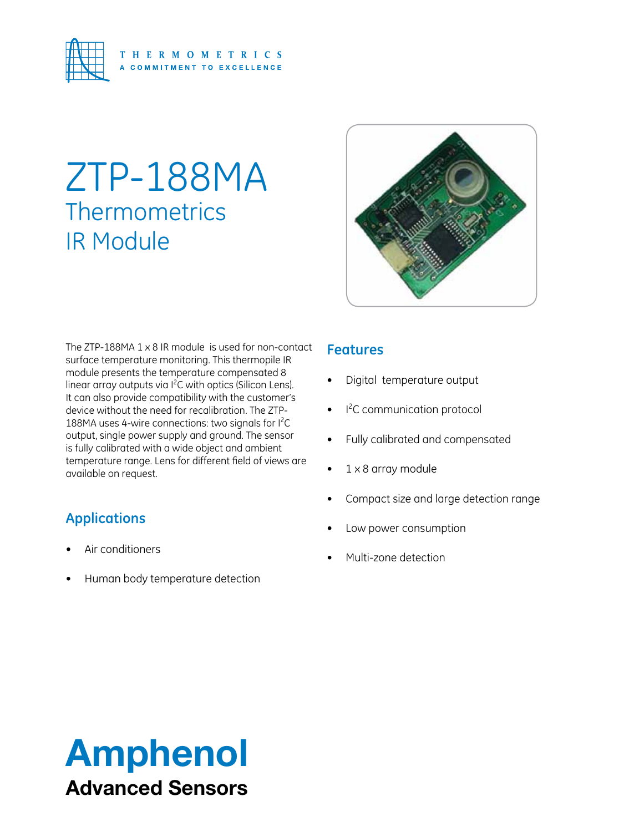

# ZTP-188MA **Thermometrics** IR Module



The ZTP-188MA 1 x 8 IR module is used for non-contact surface temperature monitoring. This thermopile IR module presents the temperature compensated 8 linear array outputs via I<sup>2</sup>C with optics (Silicon Lens). It can also provide compatibility with the customer's device without the need for recalibration. The ZTP-188MA uses 4-wire connections: two signals for l<sup>2</sup>C output, single power supply and ground. The sensor is fully calibrated with a wide object and ambient temperature range. Lens for different field of views are available on request.

## **Applications**

- Air conditioners
- Human body temperature detection

### **Features**

- Digital temperature output
- I<sup>2</sup>C communication protocol
- Fully calibrated and compensated
- $1 \times 8$  array module
- Compact size and large detection range
- Low power consumption
- Multi-zone detection

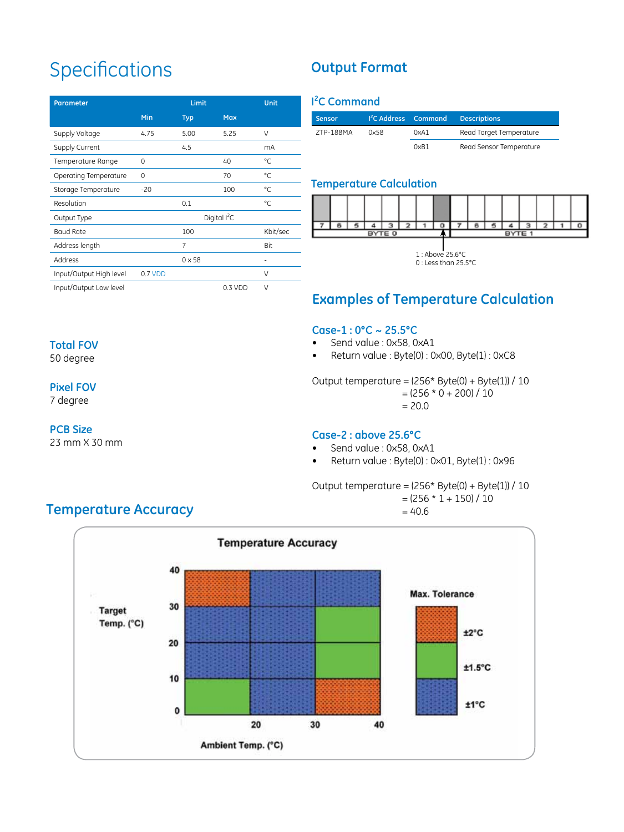## **Specifications**

| <b>Parameter</b>        | Limit<br>Unit  |               |            |          |
|-------------------------|----------------|---------------|------------|----------|
|                         | Min            | <b>Typ</b>    | <b>Max</b> |          |
| Supply Voltage          | 4.75           | 5.00          | 5.25       | V        |
| Supply Current          |                | 4.5           |            | mA       |
| Temperature Range       | 0              |               | 40         | °C       |
| Operating Temperature   | $\Omega$       |               | 70         | °C.      |
| Storage Temperature     | $-20$          |               | 100        | °C       |
| Resolution              |                | 0.1           |            | °C       |
| Output Type             | Digital $I^2C$ |               |            |          |
| <b>Baud Rate</b>        |                | 100           |            | Kbit/sec |
| Address length          |                | 7             |            | Bit      |
| Address                 |                | $0 \times 58$ |            | ۰        |
| Input/Output High level | 0.7 VDD        |               |            | $\vee$   |
| Input/Output Low level  |                |               | 0.3 VDD    | $\vee$   |

## **Output Format**

#### **I 2 C Command**

| Sensor    |      | <sup>12</sup> C Address Command | <b>Descriptions</b>     |
|-----------|------|---------------------------------|-------------------------|
| ZTP-188MA | 0x58 | 0xA1                            | Read Target Temperature |
|           |      | 0xR1                            | Read Sensor Temperature |

#### **Temperature Calculation**



## **Examples of Temperature Calculation**

#### **Case-1 : 0°C ~ 25.5°C**

- Send value : 0x58, 0xA1
- • Return value : Byte(0) : 0x00, Byte(1) : 0xC8

Output temperature = (256\* Byte(0) + Byte(1)) / 10

 $= (256 * 0 + 200) / 10$ 

#### $= 20.0$

#### **Case-2 : above 25.6°C**

- Send value : 0x58, 0xA1
- • Return value : Byte(0) : 0x01, Byte(1) : 0x96

#### Output temperature =  $(256* Byte(0) + Byte(1)) / 10$



 $= 40.6$ 



## **Temperature Accuracy**

#### **Total FOV**

50 degree

#### **Pixel FOV**

7 degree

#### **PCB Size**

23 mm X 30 mm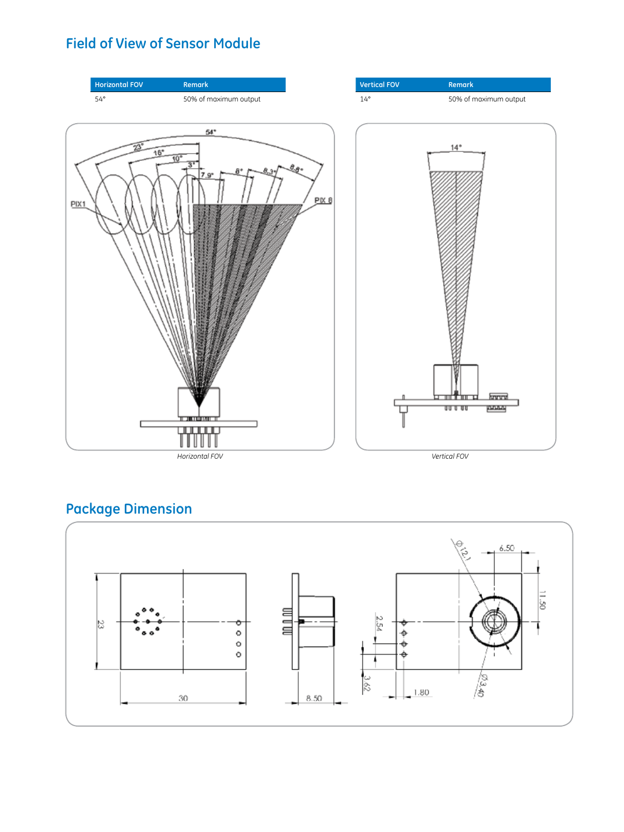## **Field of View of Sensor Module**



## **Package Dimension**